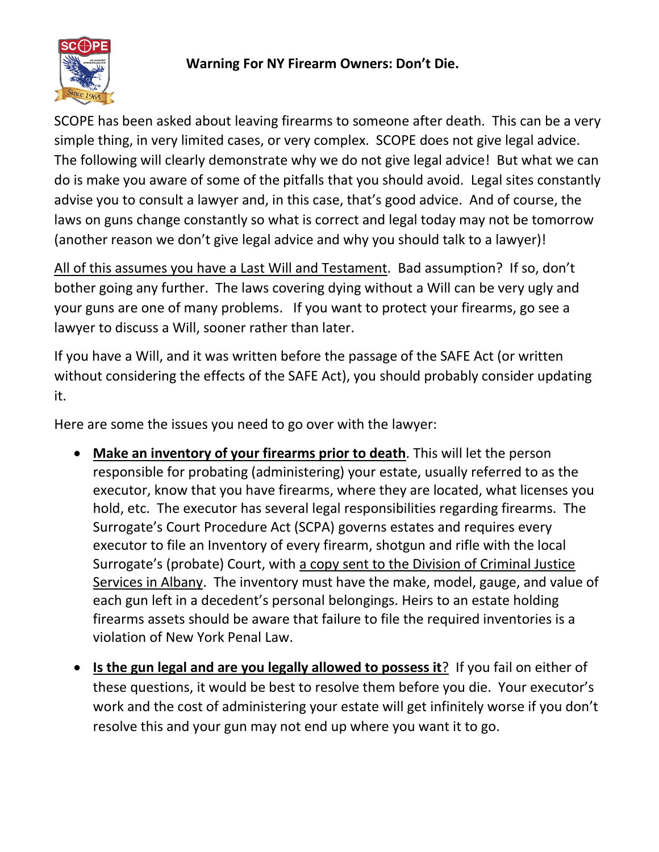

## **Warning For NY Firearm Owners: Don't Die.**

SCOPE has been asked about leaving firearms to someone after death. This can be a very simple thing, in very limited cases, or very complex. SCOPE does not give legal advice. The following will clearly demonstrate why we do not give legal advice! But what we can do is make you aware of some of the pitfalls that you should avoid. Legal sites constantly advise you to consult a lawyer and, in this case, that's good advice. And of course, the laws on guns change constantly so what is correct and legal today may not be tomorrow (another reason we don't give legal advice and why you should talk to a lawyer)!

All of this assumes you have a Last Will and Testament. Bad assumption? If so, don't bother going any further. The laws covering dying without a Will can be very ugly and your guns are one of many problems. If you want to protect your firearms, go see a lawyer to discuss a Will, sooner rather than later.

If you have a Will, and it was written before the passage of the SAFE Act (or written without considering the effects of the SAFE Act), you should probably consider updating it.

Here are some the issues you need to go over with the lawyer:

- **Make an inventory of your firearms prior to death**. This will let the person responsible for probating (administering) your estate, usually referred to as the executor, know that you have firearms, where they are located, what licenses you hold, etc. The executor has several legal responsibilities regarding firearms. The Surrogate's Court Procedure Act (SCPA) governs estates and requires every executor to file an Inventory of every firearm, shotgun and rifle with the local Surrogate's (probate) Court, with a copy sent to the Division of Criminal Justice Services in Albany. The [inventory](https://usattorneys.com/law-dictionary/inventory/) must have the [make,](https://usattorneys.com/law-dictionary/make/) model, gauge, and value of each gun left in a [decedent](https://usattorneys.com/law-dictionary/decedent/)'s personal belongings. Heirs to an estate holding firearms assets should be aware that failure to file the required inventories is a violation of New York Penal Law.
- **Is the gun legal and are you legally allowed to possess it**? If you fail on either of these questions, it would be best to resolve them before you die. Your executor's work and the cost of administering your estate will get infinitely worse if you don't resolve this and your gun may not end up where you want it to go.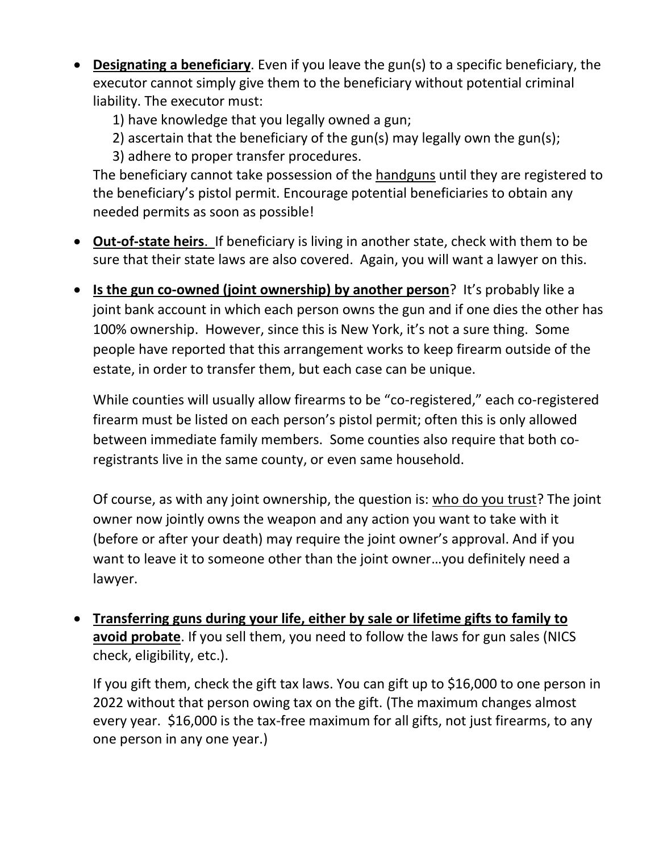- **Designating a beneficiary**. Even if you leave the gun(s) to a specific beneficiary, the executor cannot simply give them to the beneficiary without potential criminal liability. The executor must:
	- 1) have knowledge that you legally owned a gun;
	- 2) ascertain that the beneficiary of the gun(s) may legally own the gun(s);
	- 3) adhere to proper transfer procedures.

The beneficiary cannot take possession of the handguns until they are registered to the beneficiary's pistol permit. Encourage potential beneficiaries to obtain any needed permits as soon as possible!

- **Out-of-state heirs**. If beneficiary is living in another state, check with them to be sure that their state laws are also covered. Again, you will want a lawyer on this.
- **Is the gun co-owned (joint ownership) by another person**? It's probably like a joint bank account in which each person owns the gun and if one dies the other has 100% ownership. However, since this is New York, it's not a sure thing. Some people have reported that this arrangement works to keep firearm outside of the estate, in order to transfer them, but each case can be unique.

While counties will usually allow firearms to be "co-registered," each co-registered firearm must be listed on each person's pistol permit; often this is only allowed between immediate family members. Some counties also require that both coregistrants live in the same county, or even same household.

Of course, as with any joint ownership, the question is: who do you trust? The joint owner now jointly owns the weapon and any action you want to take with it (before or after your death) may require the joint owner's approval. And if you want to leave it to someone other than the joint owner…you definitely need a lawyer.

• **Transferring guns during your life, either by sale or lifetime gifts to family to avoid probate**. If you sell them, you need to follow the laws for gun sales (NICS check, eligibility, etc.).

If you gift them, check the gift tax laws. You can gift up to \$16,000 to one person in 2022 without that person owing tax on the gift. (The maximum changes almost every year. \$16,000 is the tax-free maximum for all gifts, not just firearms, to any one person in any one year.)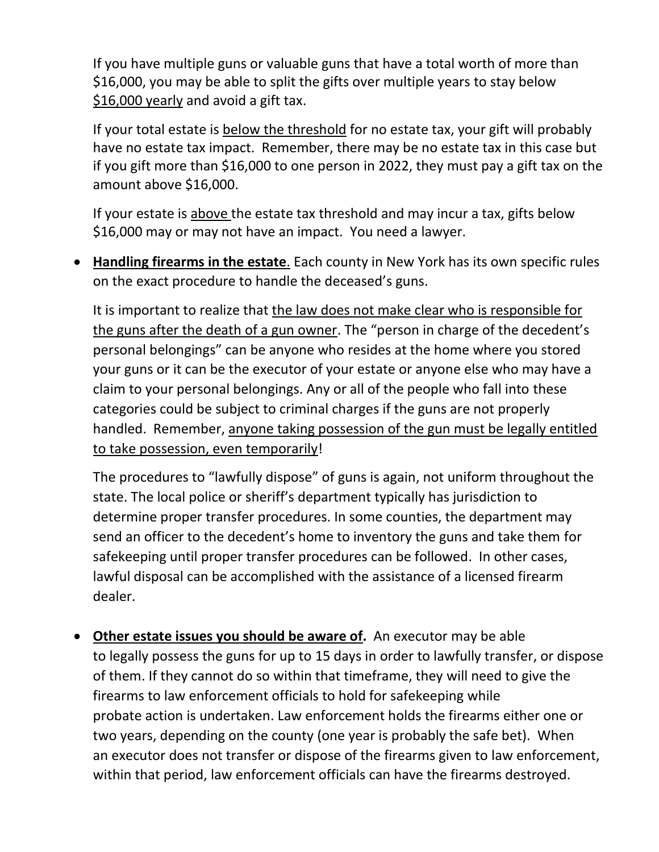If you have multiple guns or valuable guns that have a total worth of more than \$16,000, you may be able to split the gifts over multiple years to stay below \$16,000 yearly and avoid a gift tax.

If your total estate is below the threshold for no estate tax, your gift will probably have no estate tax impact. Remember, there may be no estate tax in this case but if you gift more than \$16,000 to one person in 2022, they must pay a gift tax on the amount above \$16,000.

If your estate is above the estate tax threshold and may incur a tax, gifts below \$16,000 may or may not have an impact. You need a lawyer.

• **Handling firearms in the estate**. Each county in New York has its own specific rules on the exact procedure to handle the deceased's guns.

It is important to realize that the law does not make clear who is responsible for the guns after the death of a gun owner. The "person in charge of the decedent's personal belongings" can be anyone who resides at the home where you stored your guns or it can be the executor of your estate or anyone else who may have a claim to your personal belongings. Any or all of the people who fall into these categories could be subject to criminal charges if the guns are not properly handled. Remember, anyone taking possession of the gun must be legally entitled to take possession, even temporarily!

The procedures to "lawfully dispose" of guns is again, not uniform throughout the state. The local police or sheriff's department typically has jurisdiction to determine proper transfer procedures. In some counties, the department may send an officer to the decedent's home to inventory the guns and take them for safekeeping until proper transfer procedures can be followed. In other cases, lawful disposal can be accomplished with the assistance of a licensed firearm dealer.

• **Other estate issues you should be aware of.** An [executor](https://usattorneys.com/law-dictionary/executor/) [may](https://usattorneys.com/law-dictionary/may/) be able to legally [possess](https://usattorneys.com/law-dictionary/possess/) the guns for up to 15 days in [order](https://usattorneys.com/law-dictionary/order/) to lawfully [transfer,](https://usattorneys.com/law-dictionary/transfer/) or dispose of them. If they cannot do so within that timeframe, they [will](https://usattorneys.com/law-dictionary/will/) need to give the firearms to [law](https://usattorneys.com/law-dictionary/law/) enforcement officials to hold for safekeeping while [probate](https://usattorneys.com/law-dictionary/probate/) action is undertaken. Law enforcement holds the firearms either one or two years, depending on the county (one year is probably the safe bet). When an [executor](https://usattorneys.com/law-dictionary/executor/) does not [transfer](https://usattorneys.com/law-dictionary/transfer/) or dispose of the firearms given to [law](https://usattorneys.com/law-dictionary/law/) enforcement, within that period, [law](https://usattorneys.com/law-dictionary/law/) enforcement officials can have the firearms destroyed.